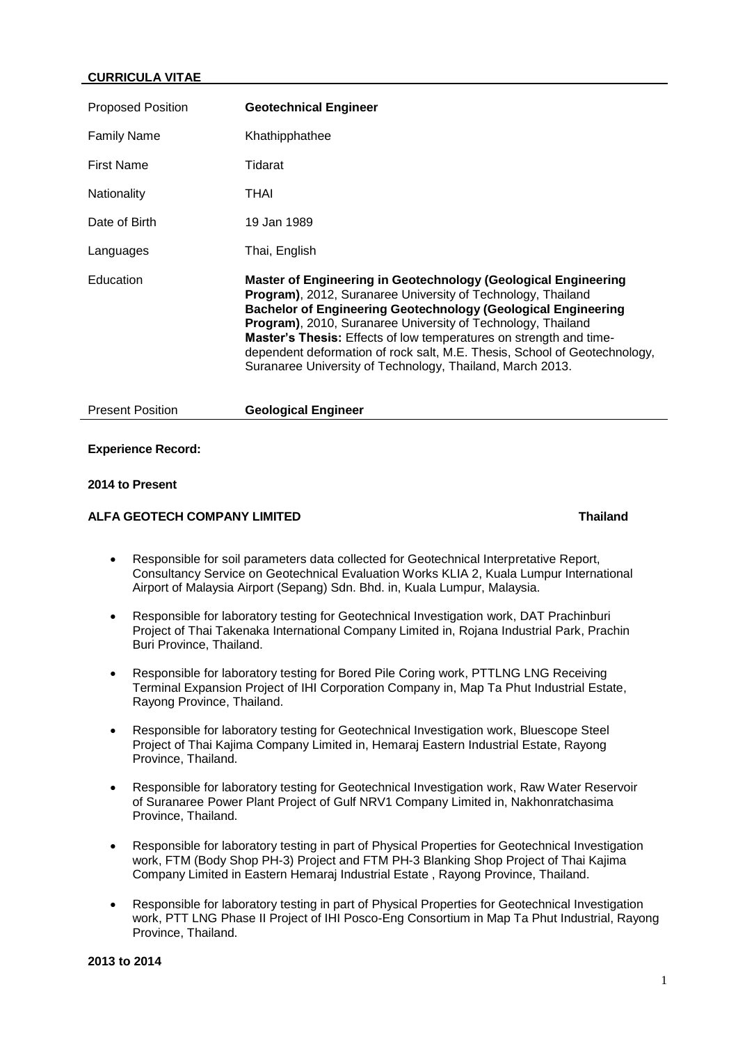### **CURRICULA VITAE**

| <b>Proposed Position</b> | <b>Geotechnical Engineer</b>                                                                                                                                                                                                                                                                                                                                                                                                                                                                   |
|--------------------------|------------------------------------------------------------------------------------------------------------------------------------------------------------------------------------------------------------------------------------------------------------------------------------------------------------------------------------------------------------------------------------------------------------------------------------------------------------------------------------------------|
| <b>Family Name</b>       | Khathipphathee                                                                                                                                                                                                                                                                                                                                                                                                                                                                                 |
| <b>First Name</b>        | Tidarat                                                                                                                                                                                                                                                                                                                                                                                                                                                                                        |
| Nationality              | THAI                                                                                                                                                                                                                                                                                                                                                                                                                                                                                           |
| Date of Birth            | 19 Jan 1989                                                                                                                                                                                                                                                                                                                                                                                                                                                                                    |
| Languages                | Thai, English                                                                                                                                                                                                                                                                                                                                                                                                                                                                                  |
| Education                | Master of Engineering in Geotechnology (Geological Engineering<br><b>Program)</b> , 2012, Suranaree University of Technology, Thailand<br><b>Bachelor of Engineering Geotechnology (Geological Engineering</b><br>Program), 2010, Suranaree University of Technology, Thailand<br>Master's Thesis: Effects of low temperatures on strength and time-<br>dependent deformation of rock salt, M.E. Thesis, School of Geotechnology,<br>Suranaree University of Technology, Thailand, March 2013. |

# **Experience Record:**

# **2014 to Present**

### **ALFA GEOTECH COMPANY LIMITED Thailand**

Present Position **Geological Engineer**

- Responsible for soil parameters data collected for Geotechnical Interpretative Report, Consultancy Service on Geotechnical Evaluation Works KLIA 2, Kuala Lumpur International Airport of Malaysia Airport (Sepang) Sdn. Bhd. in, Kuala Lumpur, Malaysia.
- Responsible for laboratory testing for Geotechnical Investigation work, DAT Prachinburi Project of Thai Takenaka International Company Limited in, Rojana Industrial Park, Prachin Buri Province, Thailand.
- Responsible for laboratory testing for Bored Pile Coring work, PTTLNG LNG Receiving Terminal Expansion Project of IHI Corporation Company in, Map Ta Phut Industrial Estate, Rayong Province, Thailand.
- Responsible for laboratory testing for Geotechnical Investigation work, Bluescope Steel Project of Thai Kajima Company Limited in, Hemaraj Eastern Industrial Estate, Rayong Province, Thailand.
- Responsible for laboratory testing for Geotechnical Investigation work, Raw Water Reservoir of Suranaree Power Plant Project of Gulf NRV1 Company Limited in, Nakhonratchasima Province, Thailand.
- Responsible for laboratory testing in part of Physical Properties for Geotechnical Investigation work, FTM (Body Shop PH-3) Project and FTM PH-3 Blanking Shop Project of Thai Kajima Company Limited in Eastern Hemaraj Industrial Estate , Rayong Province, Thailand.
- Responsible for laboratory testing in part of Physical Properties for Geotechnical Investigation work, PTT LNG Phase II Project of IHI Posco-Eng Consortium in Map Ta Phut Industrial, Rayong Province, Thailand.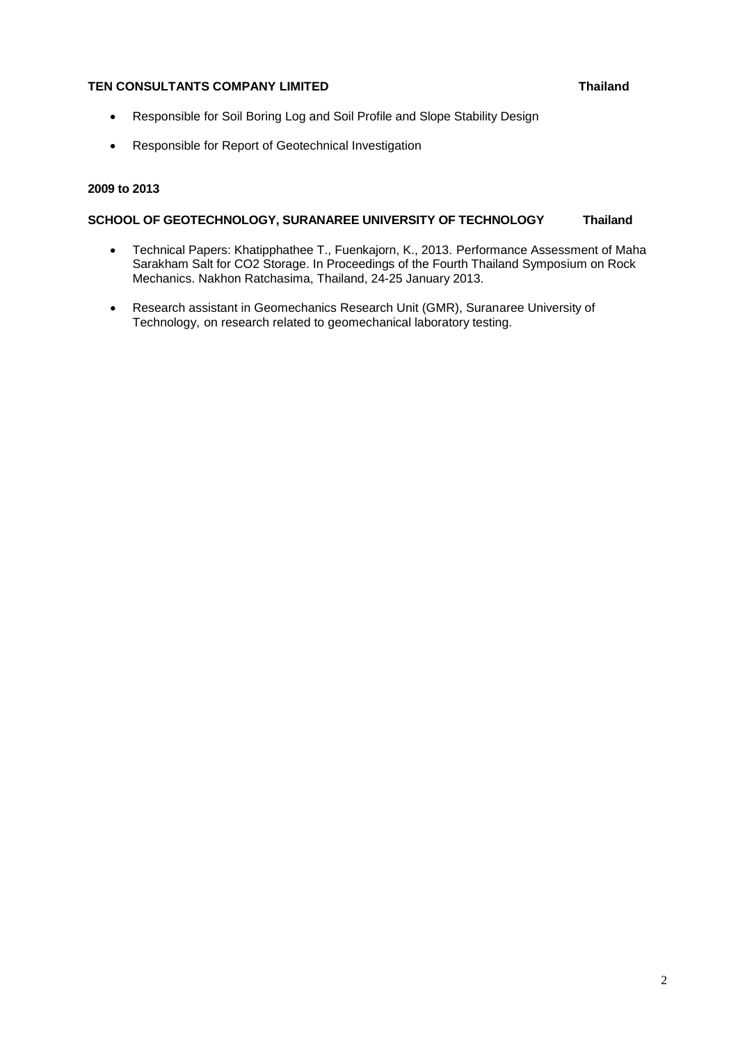# **TEN CONSULTANTS COMPANY LIMITED Thailand**

- Responsible for Soil Boring Log and Soil Profile and Slope Stability Design
- Responsible for Report of Geotechnical Investigation

## **2009 to 2013**

### **SCHOOL OF GEOTECHNOLOGY, SURANAREE UNIVERSITY OF TECHNOLOGY Thailand**

- Technical Papers: Khatipphathee T., Fuenkajorn, K., 2013. Performance Assessment of Maha Sarakham Salt for CO2 Storage. In Proceedings of the Fourth Thailand Symposium on Rock Mechanics. Nakhon Ratchasima, Thailand, 24-25 January 2013.
- Research assistant in Geomechanics Research Unit (GMR), Suranaree University of Technology, on research related to geomechanical laboratory testing.